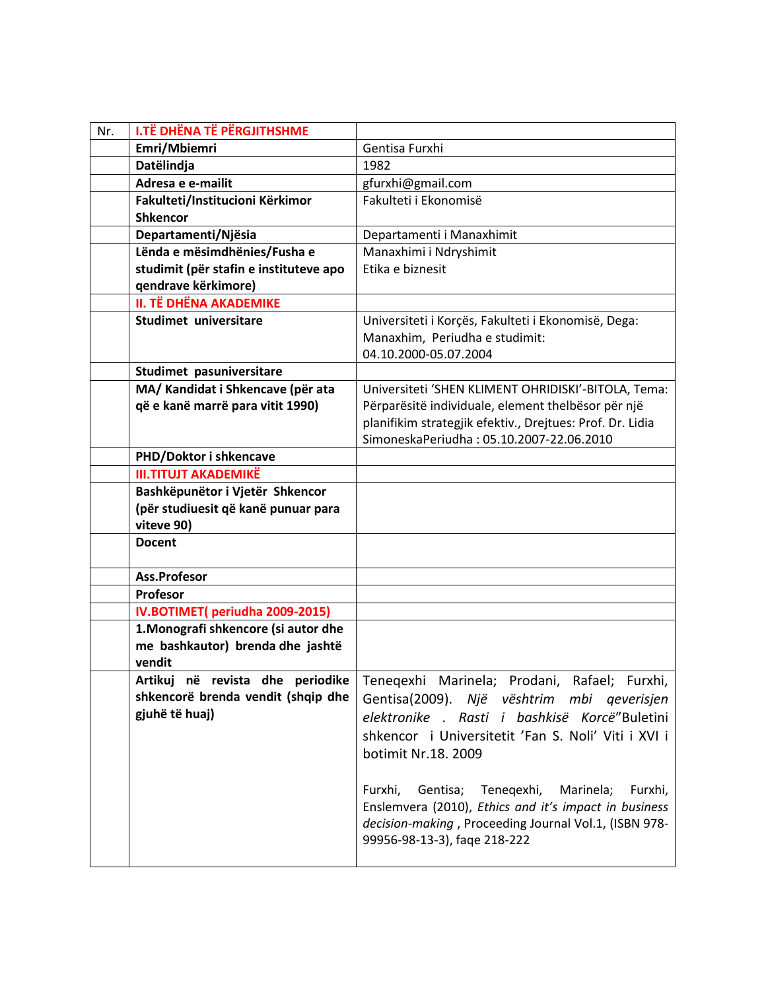| Nr. | <b>I.TË DHËNA TË PËRGJITHSHME</b>      |                                                                                                       |
|-----|----------------------------------------|-------------------------------------------------------------------------------------------------------|
|     | Emri/Mbiemri                           | Gentisa Furxhi                                                                                        |
|     | Datëlindja                             | 1982                                                                                                  |
|     | Adresa e e-mailit                      | gfurxhi@gmail.com                                                                                     |
|     | Fakulteti/Institucioni Kërkimor        | Fakulteti i Ekonomisë                                                                                 |
|     | <b>Shkencor</b>                        |                                                                                                       |
|     | Departamenti/Njësia                    | Departamenti i Manaxhimit                                                                             |
|     | Lënda e mësimdhënies/Fusha e           | Manaxhimi i Ndryshimit                                                                                |
|     | studimit (për stafin e instituteve apo | Etika e biznesit                                                                                      |
|     | qendrave kërkimore)                    |                                                                                                       |
|     | <b>II. TË DHËNA AKADEMIKE</b>          |                                                                                                       |
|     | Studimet universitare                  | Universiteti i Korçës, Fakulteti i Ekonomisë, Dega:                                                   |
|     |                                        | Manaxhim, Periudha e studimit:                                                                        |
|     |                                        | 04.10.2000-05.07.2004                                                                                 |
|     | Studimet pasuniversitare               |                                                                                                       |
|     | MA/ Kandidat i Shkencave (për ata      | Universiteti 'SHEN KLIMENT OHRIDISKI'-BITOLA, Tema:                                                   |
|     | që e kanë marrë para vitit 1990)       | Përparësitë individuale, element thelbësor për një                                                    |
|     |                                        | planifikim strategjik efektiv., Drejtues: Prof. Dr. Lidia<br>SimoneskaPeriudha: 05.10.2007-22.06.2010 |
|     | PHD/Doktor i shkencave                 |                                                                                                       |
|     | <b>III.TITUJT AKADEMIKË</b>            |                                                                                                       |
|     | Bashkëpunëtor i Vjetër Shkencor        |                                                                                                       |
|     | (për studiuesit që kanë punuar para    |                                                                                                       |
|     | viteve 90)                             |                                                                                                       |
|     | <b>Docent</b>                          |                                                                                                       |
|     |                                        |                                                                                                       |
|     | Ass.Profesor                           |                                                                                                       |
|     | Profesor                               |                                                                                                       |
|     | IV.BOTIMET(periudha 2009-2015)         |                                                                                                       |
|     | 1. Monografi shkencore (si autor dhe   |                                                                                                       |
|     | me bashkautor) brenda dhe jashtë       |                                                                                                       |
|     | vendit                                 |                                                                                                       |
|     |                                        | Artikuj në revista dhe periodike Teneqexhi Marinela; Prodani, Rafael; Furxhi,                         |
|     | shkencorë brenda vendit (shqip dhe     | Gentisa(2009). Një vështrim mbi qeverisjen                                                            |
|     | gjuhë të huaj)                         | elektronike . Rasti i bashkisë Korcë"Buletini                                                         |
|     |                                        | shkencor i Universitetit 'Fan S. Noli' Viti i XVI i                                                   |
|     |                                        | botimit Nr.18. 2009                                                                                   |
|     |                                        |                                                                                                       |
|     |                                        | Gentisa;<br>Tenegexhi,<br>Furxhi,<br>Marinela;<br>Furxhi,                                             |
|     |                                        | Enslemvera (2010), Ethics and it's impact in business                                                 |
|     |                                        | decision-making, Proceeding Journal Vol.1, (ISBN 978-                                                 |
|     |                                        | 99956-98-13-3), faqe 218-222                                                                          |
|     |                                        |                                                                                                       |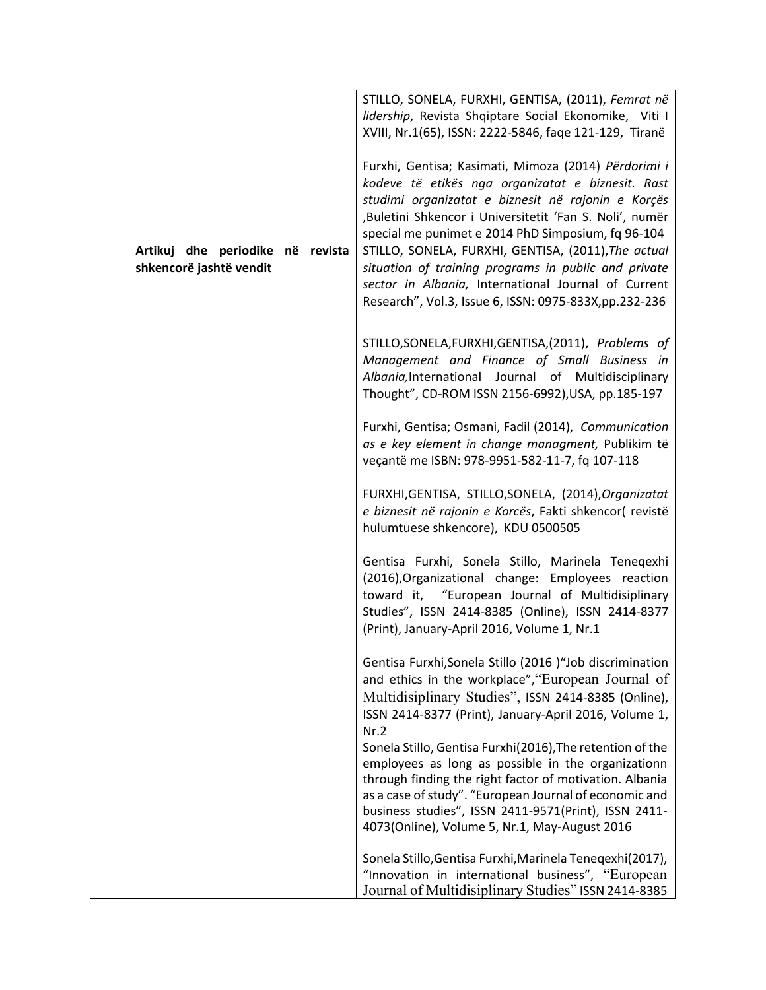|                                                             | STILLO, SONELA, FURXHI, GENTISA, (2011), Femrat në<br>lidership, Revista Shqiptare Social Ekonomike, Viti I<br>XVIII, Nr.1(65), ISSN: 2222-5846, fage 121-129, Tiranë<br>Furxhi, Gentisa; Kasimati, Mimoza (2014) Përdorimi i<br>kodeve të etikës nga organizatat e biznesit. Rast                                                            |
|-------------------------------------------------------------|-----------------------------------------------------------------------------------------------------------------------------------------------------------------------------------------------------------------------------------------------------------------------------------------------------------------------------------------------|
|                                                             | studimi organizatat e biznesit në rajonin e Korçës<br>,Buletini Shkencor i Universitetit 'Fan S. Noli', numër                                                                                                                                                                                                                                 |
| Artikuj dhe periodike në revista<br>shkencorë jashtë vendit | special me punimet e 2014 PhD Simposium, fq 96-104<br>STILLO, SONELA, FURXHI, GENTISA, (2011), The actual<br>situation of training programs in public and private<br>sector in Albania, International Journal of Current<br>Research", Vol.3, Issue 6, ISSN: 0975-833X, pp.232-236                                                            |
|                                                             | STILLO, SONELA, FURXHI, GENTISA, (2011), Problems of<br>Management and Finance of Small Business in<br>Albania, International Journal of Multidisciplinary<br>Thought", CD-ROM ISSN 2156-6992), USA, pp.185-197                                                                                                                               |
|                                                             | Furxhi, Gentisa; Osmani, Fadil (2014), Communication<br>as e key element in change managment, Publikim të<br>veçantë me ISBN: 978-9951-582-11-7, fq 107-118                                                                                                                                                                                   |
|                                                             | FURXHI, GENTISA, STILLO, SONELA, (2014), Organizatat<br>e biznesit në rajonin e Korcës, Fakti shkencor( revistë<br>hulumtuese shkencore), KDU 0500505                                                                                                                                                                                         |
|                                                             | Gentisa Furxhi, Sonela Stillo, Marinela Teneqexhi<br>(2016), Organizational change: Employees reaction<br>toward it, "European Journal of Multidisiplinary<br>Studies", ISSN 2414-8385 (Online), ISSN 2414-8377<br>(Print), January-April 2016, Volume 1, Nr.1                                                                                |
|                                                             | Gentisa Furxhi, Sonela Stillo (2016 )"Job discrimination<br>and ethics in the workplace", "European Journal of<br>Multidisiplinary Studies", ISSN 2414-8385 (Online),<br>ISSN 2414-8377 (Print), January-April 2016, Volume 1,<br>Nr.2                                                                                                        |
|                                                             | Sonela Stillo, Gentisa Furxhi(2016), The retention of the<br>employees as long as possible in the organizationn<br>through finding the right factor of motivation. Albania<br>as a case of study". "European Journal of economic and<br>business studies", ISSN 2411-9571(Print), ISSN 2411-<br>4073(Online), Volume 5, Nr.1, May-August 2016 |
|                                                             | Sonela Stillo, Gentisa Furxhi, Marinela Teneqexhi(2017),<br>"Innovation in international business", "European<br>Journal of Multidisiplinary Studies" ISSN 2414-8385                                                                                                                                                                          |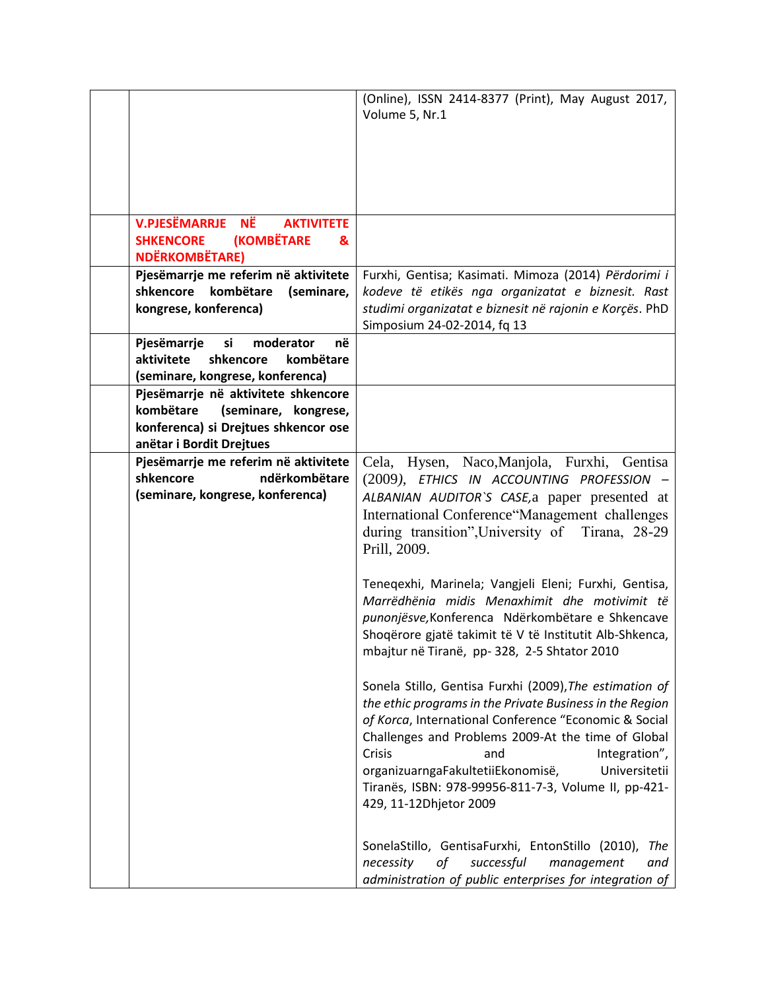|                                                                                            | (Online), ISSN 2414-8377 (Print), May August 2017,<br>Volume 5, Nr.1                                         |
|--------------------------------------------------------------------------------------------|--------------------------------------------------------------------------------------------------------------|
|                                                                                            |                                                                                                              |
|                                                                                            |                                                                                                              |
|                                                                                            |                                                                                                              |
| <b>V.PJESËMARRJE NË</b><br><b>AKTIVITETE</b><br><b>(KOMBËTARE</b><br><b>SHKENCORE</b><br>& |                                                                                                              |
| <b>NDËRKOMBËTARE)</b>                                                                      |                                                                                                              |
| Pjesëmarrje me referim në aktivitete                                                       | Furxhi, Gentisa; Kasimati. Mimoza (2014) Përdorimi i                                                         |
| shkencore<br>kombëtare<br>(seminare,<br>kongrese, konferenca)                              | kodeve të etikës nga organizatat e biznesit. Rast<br>studimi organizatat e biznesit në rajonin e Korçës. PhD |
|                                                                                            | Simposium 24-02-2014, fq 13                                                                                  |
| Pjesëmarrje<br>si<br>në<br>moderator<br>aktivitete<br>shkencore<br>kombëtare               |                                                                                                              |
| (seminare, kongrese, konferenca)                                                           |                                                                                                              |
| Pjesëmarrje në aktivitete shkencore                                                        |                                                                                                              |
| kombëtare<br>(seminare, kongrese,<br>konferenca) si Drejtues shkencor ose                  |                                                                                                              |
| anëtar i Bordit Drejtues                                                                   |                                                                                                              |
| Pjesëmarrje me referim në aktivitete                                                       | Cela, Hysen, Naco, Manjola, Furxhi, Gentisa                                                                  |
| shkencore<br>ndërkombëtare<br>(seminare, kongrese, konferenca)                             | (2009), ETHICS IN ACCOUNTING PROFESSION -<br>ALBANIAN AUDITOR'S CASE, a paper presented at                   |
|                                                                                            | International Conference "Management challenges                                                              |
|                                                                                            | during transition", University of<br>Tirana, 28-29                                                           |
|                                                                                            | Prill, 2009.                                                                                                 |
|                                                                                            | Teneqexhi, Marinela; Vangjeli Eleni; Furxhi, Gentisa,                                                        |
|                                                                                            | Marrëdhënia midis Menaxhimit dhe motivimit të                                                                |
|                                                                                            | punonjësve, Konferenca Ndërkombëtare e Shkencave<br>Shoqërore gjatë takimit të V të Institutit Alb-Shkenca,  |
|                                                                                            | mbajtur në Tiranë, pp-328, 2-5 Shtator 2010                                                                  |
|                                                                                            | Sonela Stillo, Gentisa Furxhi (2009), The estimation of                                                      |
|                                                                                            | the ethic programs in the Private Business in the Region                                                     |
|                                                                                            | of Korca, International Conference "Economic & Social<br>Challenges and Problems 2009-At the time of Global  |
|                                                                                            | Crisis<br>Integration",<br>and                                                                               |
|                                                                                            | organizuarngaFakultetiiEkonomisë,<br>Universitetii                                                           |
|                                                                                            | Tiranës, ISBN: 978-99956-811-7-3, Volume II, pp-421-<br>429, 11-12Dhjetor 2009                               |
|                                                                                            |                                                                                                              |
|                                                                                            | SonelaStillo, GentisaFurxhi, EntonStillo (2010),<br>The                                                      |
|                                                                                            | necessity<br>οf<br>successful<br>management<br>and                                                           |
|                                                                                            | administration of public enterprises for integration of                                                      |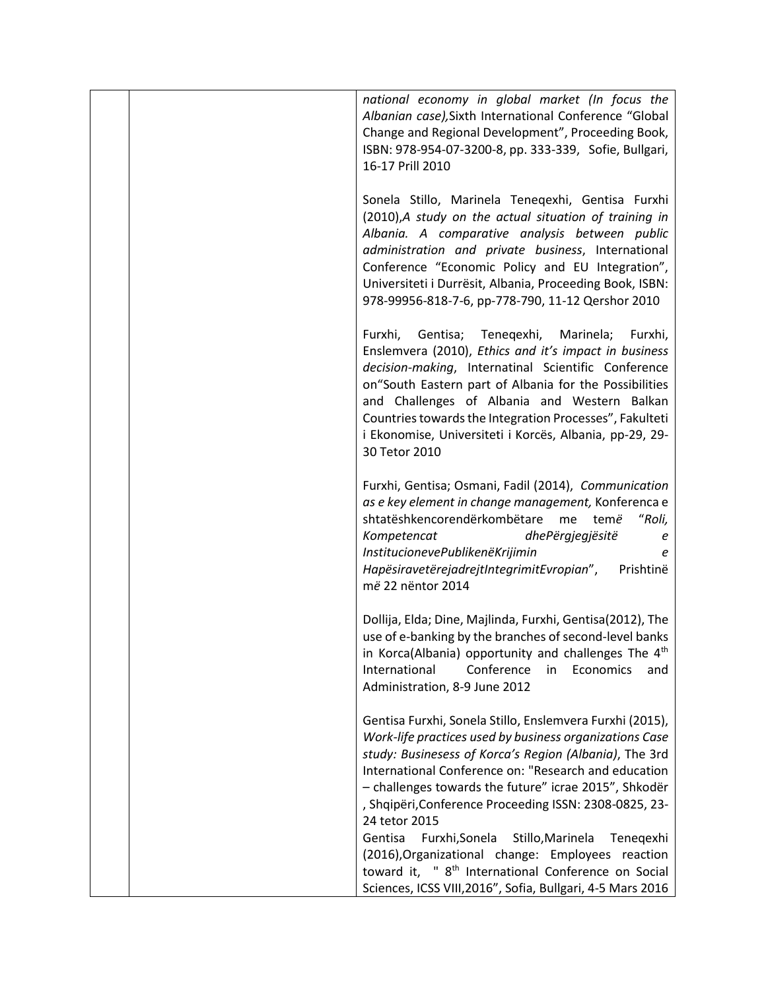| national economy in global market (In focus the<br>Albanian case), Sixth International Conference "Global<br>Change and Regional Development", Proceeding Book,<br>ISBN: 978-954-07-3200-8, pp. 333-339, Sofie, Bullgari,<br>16-17 Prill 2010                                                                                                                                                                                           |
|-----------------------------------------------------------------------------------------------------------------------------------------------------------------------------------------------------------------------------------------------------------------------------------------------------------------------------------------------------------------------------------------------------------------------------------------|
| Sonela Stillo, Marinela Teneqexhi, Gentisa Furxhi<br>(2010), A study on the actual situation of training in<br>Albania. A comparative analysis between public<br>administration and private business, International<br>Conference "Economic Policy and EU Integration",<br>Universiteti i Durrësit, Albania, Proceeding Book, ISBN:<br>978-99956-818-7-6, pp-778-790, 11-12 Qershor 2010                                                |
| Gentisa; Tenegexhi,<br>Furxhi,<br>Marinela;<br>Furxhi,<br>Enslemvera (2010), Ethics and it's impact in business<br>decision-making, Internatinal Scientific Conference<br>on "South Eastern part of Albania for the Possibilities<br>and Challenges of Albania and Western Balkan<br>Countries towards the Integration Processes", Fakulteti<br>i Ekonomise, Universiteti i Korcës, Albania, pp-29, 29-<br>30 Tetor 2010                |
| Furxhi, Gentisa; Osmani, Fadil (2014), Communication<br>as e key element in change management, Konferenca e<br>shtatëshkencorendërkombëtare<br>"Roli,<br>temë<br>me<br>Kompetencat<br>dhePërgjegjësitë<br>е<br>InstitucionevePublikenëKrijimin<br>е<br>HapësiravetërejadrejtIntegrimitEvropian", Prishtinë<br>më 22 nëntor 2014                                                                                                         |
| Dollija, Elda; Dine, Majlinda, Furxhi, Gentisa(2012), The<br>use of e-banking by the branches of second-level banks<br>in Korca(Albania) opportunity and challenges The 4 <sup>th</sup><br>International<br>Conference<br>in<br>Economics<br>and<br>Administration, 8-9 June 2012                                                                                                                                                       |
| Gentisa Furxhi, Sonela Stillo, Enslemvera Furxhi (2015),<br>Work-life practices used by business organizations Case<br>study: Businesess of Korca's Region (Albania), The 3rd<br>International Conference on: "Research and education<br>- challenges towards the future" icrae 2015", Shkodër<br>, Shqipëri, Conference Proceeding ISSN: 2308-0825, 23-<br>24 tetor 2015<br>Gentisa<br>Furxhi, Sonela<br>Stillo, Marinela<br>Tenegexhi |
| (2016), Organizational change: Employees reaction<br>toward it, " 8 <sup>th</sup> International Conference on Social<br>Sciences, ICSS VIII, 2016", Sofia, Bullgari, 4-5 Mars 2016                                                                                                                                                                                                                                                      |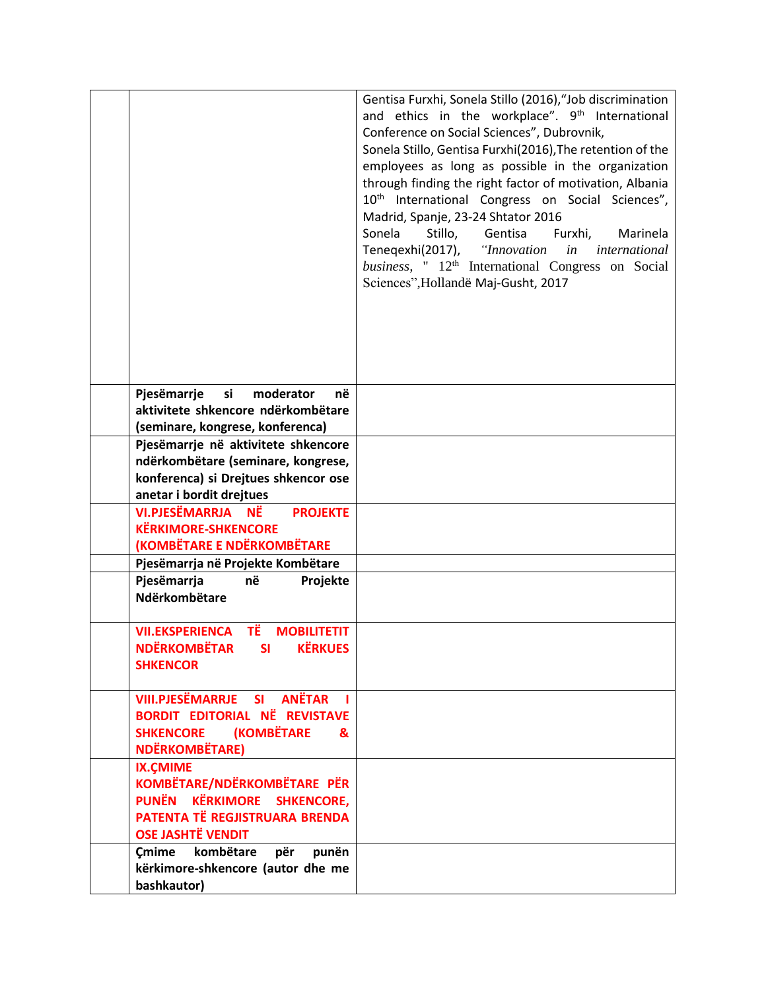|                                                                                                                                               | Gentisa Furxhi, Sonela Stillo (2016), "Job discrimination<br>and ethics in the workplace". 9 <sup>th</sup> International<br>Conference on Social Sciences", Dubrovnik,<br>Sonela Stillo, Gentisa Furxhi(2016), The retention of the<br>employees as long as possible in the organization<br>through finding the right factor of motivation, Albania<br>10 <sup>th</sup> International Congress on Social Sciences",<br>Madrid, Spanje, 23-24 Shtator 2016<br>Sonela<br>Stillo,<br>Gentisa<br>Furxhi,<br>Marinela<br>Teneqexhi(2017), "Innovation<br><i>in international</i><br>business, " 12 <sup>th</sup> International Congress on Social<br>Sciences", Hollandë Maj-Gusht, 2017 |
|-----------------------------------------------------------------------------------------------------------------------------------------------|-------------------------------------------------------------------------------------------------------------------------------------------------------------------------------------------------------------------------------------------------------------------------------------------------------------------------------------------------------------------------------------------------------------------------------------------------------------------------------------------------------------------------------------------------------------------------------------------------------------------------------------------------------------------------------------|
| moderator<br>Pjesëmarrje<br>si<br>në                                                                                                          |                                                                                                                                                                                                                                                                                                                                                                                                                                                                                                                                                                                                                                                                                     |
| aktivitete shkencore ndërkombëtare<br>(seminare, kongrese, konferenca)                                                                        |                                                                                                                                                                                                                                                                                                                                                                                                                                                                                                                                                                                                                                                                                     |
| Pjesëmarrje në aktivitete shkencore<br>ndërkombëtare (seminare, kongrese,<br>konferenca) si Drejtues shkencor ose<br>anetar i bordit drejtues |                                                                                                                                                                                                                                                                                                                                                                                                                                                                                                                                                                                                                                                                                     |
| VI.PJESËMARRJA NË<br><b>PROJEKTE</b><br><b>KËRKIMORE-SHKENCORE</b><br>(KOMBËTARE E NDËRKOMBËTARE                                              |                                                                                                                                                                                                                                                                                                                                                                                                                                                                                                                                                                                                                                                                                     |
| Pjesëmarrja në Projekte Kombëtare                                                                                                             |                                                                                                                                                                                                                                                                                                                                                                                                                                                                                                                                                                                                                                                                                     |
| Pjesëmarrja<br>në<br>Projekte<br>Ndërkombëtare                                                                                                |                                                                                                                                                                                                                                                                                                                                                                                                                                                                                                                                                                                                                                                                                     |
| ΤË<br><b>VII.EKSPERIENCA</b><br><b>MOBILITETIT</b><br>NDËRKOMBËTAR SI KËRKUES<br><b>SHKENCOR</b>                                              |                                                                                                                                                                                                                                                                                                                                                                                                                                                                                                                                                                                                                                                                                     |
| <b>VIII.PJESËMARRJE SI ANËTAR</b><br><b>BORDIT EDITORIAL NË REVISTAVE</b><br>SHKENCORE (KOMBËTARE<br>&<br><b>NDËRKOMBËTARE)</b>               |                                                                                                                                                                                                                                                                                                                                                                                                                                                                                                                                                                                                                                                                                     |
| <b>IX.CMIME</b><br>KOMBËTARE/NDËRKOMBËTARE PËR<br>PUNËN KËRKIMORE SHKENCORE,<br>PATENTA TË REGJISTRUARA BRENDA<br><b>OSE JASHTË VENDIT</b>    |                                                                                                                                                                                                                                                                                                                                                                                                                                                                                                                                                                                                                                                                                     |
| Cmime kombëtare<br>për<br>punën<br>kërkimore-shkencore (autor dhe me<br>bashkautor)                                                           |                                                                                                                                                                                                                                                                                                                                                                                                                                                                                                                                                                                                                                                                                     |